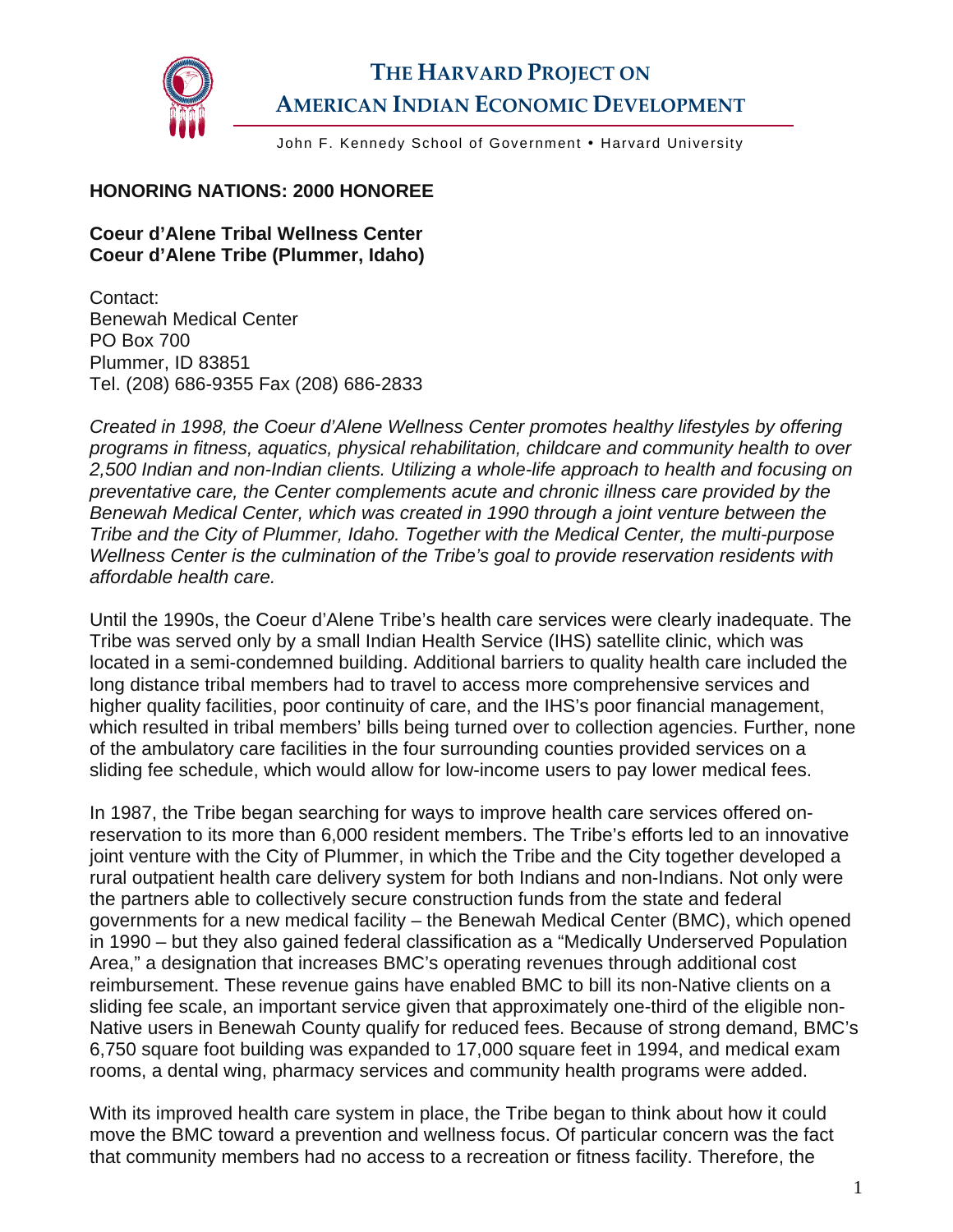

## **THE HARVARD PROJECT ON AMERICAN INDIAN ECONOMIC DEVELOPMENT**

John F. Kennedy School of Government . Harvard University

## **HONORING NATIONS: 2000 HONOREE**

## **Coeur d'Alene Tribal Wellness Center Coeur d'Alene Tribe (Plummer, Idaho)**

Contact: Benewah Medical Center PO Box 700 Plummer, ID 83851 Tel. (208) 686-9355 Fax (208) 686-2833

*Created in 1998, the Coeur d'Alene Wellness Center promotes healthy lifestyles by offering programs in fitness, aquatics, physical rehabilitation, childcare and community health to over 2,500 Indian and non-Indian clients. Utilizing a whole-life approach to health and focusing on preventative care, the Center complements acute and chronic illness care provided by the Benewah Medical Center, which was created in 1990 through a joint venture between the Tribe and the City of Plummer, Idaho. Together with the Medical Center, the multi-purpose Wellness Center is the culmination of the Tribe's goal to provide reservation residents with affordable health care.* 

Until the 1990s, the Coeur d'Alene Tribe's health care services were clearly inadequate. The Tribe was served only by a small Indian Health Service (IHS) satellite clinic, which was located in a semi-condemned building. Additional barriers to quality health care included the long distance tribal members had to travel to access more comprehensive services and higher quality facilities, poor continuity of care, and the IHS's poor financial management, which resulted in tribal members' bills being turned over to collection agencies. Further, none of the ambulatory care facilities in the four surrounding counties provided services on a sliding fee schedule, which would allow for low-income users to pay lower medical fees.

In 1987, the Tribe began searching for ways to improve health care services offered onreservation to its more than 6,000 resident members. The Tribe's efforts led to an innovative joint venture with the City of Plummer, in which the Tribe and the City together developed a rural outpatient health care delivery system for both Indians and non-Indians. Not only were the partners able to collectively secure construction funds from the state and federal governments for a new medical facility – the Benewah Medical Center (BMC), which opened in 1990 – but they also gained federal classification as a "Medically Underserved Population Area," a designation that increases BMC's operating revenues through additional cost reimbursement. These revenue gains have enabled BMC to bill its non-Native clients on a sliding fee scale, an important service given that approximately one-third of the eligible non-Native users in Benewah County qualify for reduced fees. Because of strong demand, BMC's 6,750 square foot building was expanded to 17,000 square feet in 1994, and medical exam rooms, a dental wing, pharmacy services and community health programs were added.

With its improved health care system in place, the Tribe began to think about how it could move the BMC toward a prevention and wellness focus. Of particular concern was the fact that community members had no access to a recreation or fitness facility. Therefore, the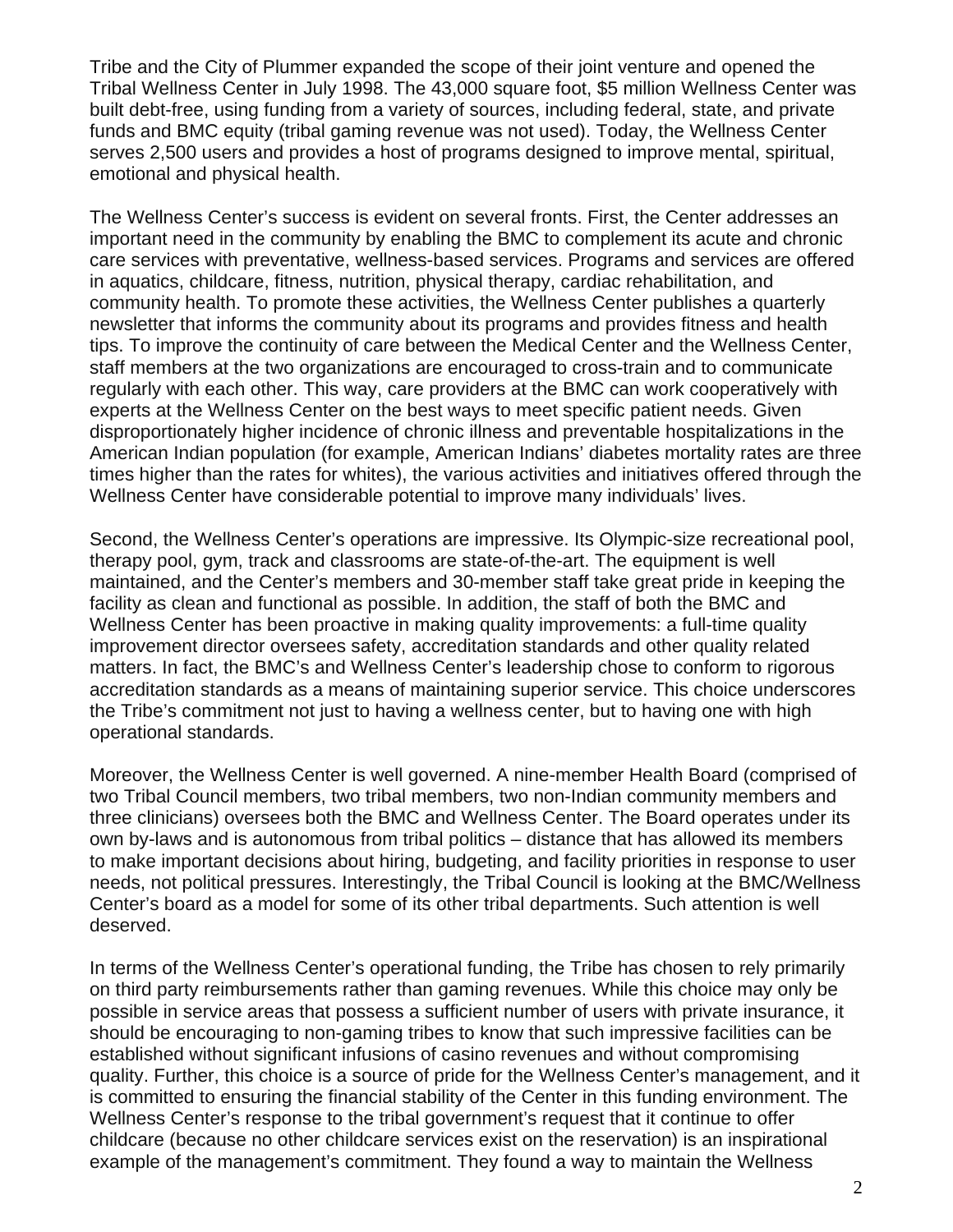Tribe and the City of Plummer expanded the scope of their joint venture and opened the Tribal Wellness Center in July 1998. The 43,000 square foot, \$5 million Wellness Center was built debt-free, using funding from a variety of sources, including federal, state, and private funds and BMC equity (tribal gaming revenue was not used). Today, the Wellness Center serves 2,500 users and provides a host of programs designed to improve mental, spiritual, emotional and physical health.

The Wellness Center's success is evident on several fronts. First, the Center addresses an important need in the community by enabling the BMC to complement its acute and chronic care services with preventative, wellness-based services. Programs and services are offered in aquatics, childcare, fitness, nutrition, physical therapy, cardiac rehabilitation, and community health. To promote these activities, the Wellness Center publishes a quarterly newsletter that informs the community about its programs and provides fitness and health tips. To improve the continuity of care between the Medical Center and the Wellness Center, staff members at the two organizations are encouraged to cross-train and to communicate regularly with each other. This way, care providers at the BMC can work cooperatively with experts at the Wellness Center on the best ways to meet specific patient needs. Given disproportionately higher incidence of chronic illness and preventable hospitalizations in the American Indian population (for example, American Indians' diabetes mortality rates are three times higher than the rates for whites), the various activities and initiatives offered through the Wellness Center have considerable potential to improve many individuals' lives.

Second, the Wellness Center's operations are impressive. Its Olympic-size recreational pool, therapy pool, gym, track and classrooms are state-of-the-art. The equipment is well maintained, and the Center's members and 30-member staff take great pride in keeping the facility as clean and functional as possible. In addition, the staff of both the BMC and Wellness Center has been proactive in making quality improvements: a full-time quality improvement director oversees safety, accreditation standards and other quality related matters. In fact, the BMC's and Wellness Center's leadership chose to conform to rigorous accreditation standards as a means of maintaining superior service. This choice underscores the Tribe's commitment not just to having a wellness center, but to having one with high operational standards.

Moreover, the Wellness Center is well governed. A nine-member Health Board (comprised of two Tribal Council members, two tribal members, two non-Indian community members and three clinicians) oversees both the BMC and Wellness Center. The Board operates under its own by-laws and is autonomous from tribal politics – distance that has allowed its members to make important decisions about hiring, budgeting, and facility priorities in response to user needs, not political pressures. Interestingly, the Tribal Council is looking at the BMC/Wellness Center's board as a model for some of its other tribal departments. Such attention is well deserved.

In terms of the Wellness Center's operational funding, the Tribe has chosen to rely primarily on third party reimbursements rather than gaming revenues. While this choice may only be possible in service areas that possess a sufficient number of users with private insurance, it should be encouraging to non-gaming tribes to know that such impressive facilities can be established without significant infusions of casino revenues and without compromising quality. Further, this choice is a source of pride for the Wellness Center's management, and it is committed to ensuring the financial stability of the Center in this funding environment. The Wellness Center's response to the tribal government's request that it continue to offer childcare (because no other childcare services exist on the reservation) is an inspirational example of the management's commitment. They found a way to maintain the Wellness